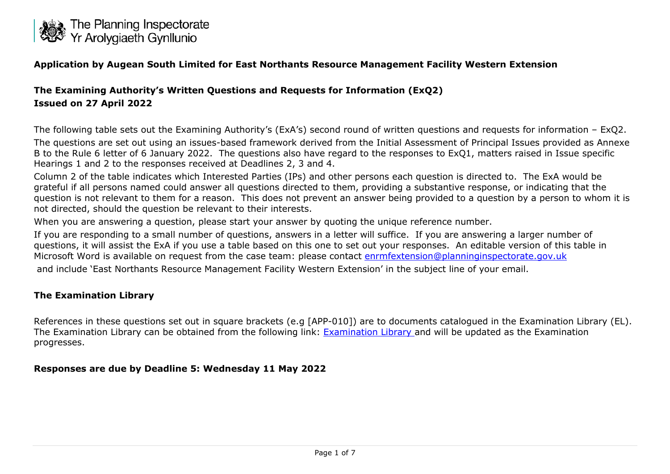

#### **Application by Augean South Limited for East Northants Resource Management Facility Western Extension**

### **The Examining Authority's Written Questions and Requests for Information (ExQ2) Issued on 27 April 2022**

The following table sets out the Examining Authority's (ExA's) second round of written questions and requests for information – ExQ2.

The questions are set out using an issues-based framework derived from the Initial Assessment of Principal Issues provided as Annexe B to the Rule 6 letter of 6 January 2022. The questions also have regard to the responses to ExQ1, matters raised in Issue specific Hearings 1 and 2 to the responses received at Deadlines 2, 3 and 4.

Column 2 of the table indicates which Interested Parties (IPs) and other persons each question is directed to. The ExA would be grateful if all persons named could answer all questions directed to them, providing a substantive response, or indicating that the question is not relevant to them for a reason. This does not prevent an answer being provided to a question by a person to whom it is not directed, should the question be relevant to their interests.

When you are answering a question, please start your answer by quoting the unique reference number.

If you are responding to a small number of questions, answers in a letter will suffice. If you are answering a larger number of questions, it will assist the ExA if you use a table based on this one to set out your responses. An editable version of this table in Microsoft Word is available on request from the case team: please contact [enrmfextension@planninginspectorate.gov.uk](mailto:enrmfextension@planninginspectorate.gov.uk) and include 'East Northants Resource Management Facility Western Extension' in the subject line of your email.

#### **The Examination Library**

References in these questions set out in square brackets (e.g [APP-010]) are to documents catalogued in the Examination Library (EL). The Examination Library can be obtained from the following link: [Examination Library a](https://infrastructure.planninginspectorate.gov.uk/wp-content/ipc/uploads/projects/WS010005/WS010005-000363-East%20Northants%20Examination%20Library.pdf)nd will be updated as the Examination progresses.

#### **Responses are due by Deadline 5: Wednesday 11 May 2022**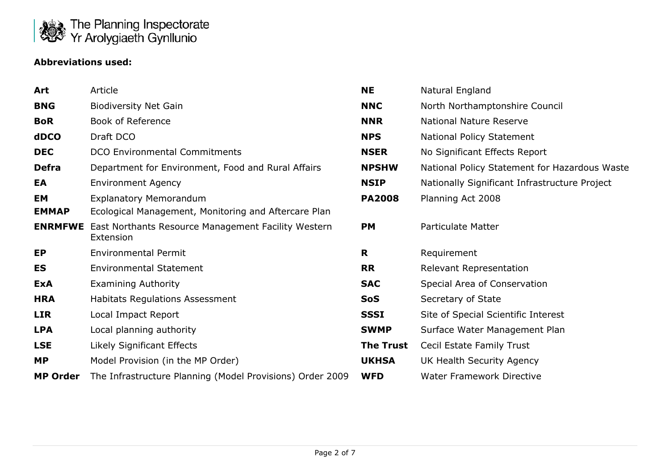

### **Abbreviations used:**

| Art             | Article                                                          | <b>NE</b>        | Natural England                               |
|-----------------|------------------------------------------------------------------|------------------|-----------------------------------------------|
| <b>BNG</b>      | <b>Biodiversity Net Gain</b>                                     | <b>NNC</b>       | North Northamptonshire Council                |
| <b>BoR</b>      | <b>Book of Reference</b>                                         | <b>NNR</b>       | National Nature Reserve                       |
| dDCO            | Draft DCO                                                        | <b>NPS</b>       | National Policy Statement                     |
| <b>DEC</b>      | <b>DCO Environmental Commitments</b>                             | <b>NSER</b>      | No Significant Effects Report                 |
| <b>Defra</b>    | Department for Environment, Food and Rural Affairs               | <b>NPSHW</b>     | National Policy Statement for Hazardous Waste |
| EA              | <b>Environment Agency</b>                                        | <b>NSIP</b>      | Nationally Significant Infrastructure Project |
| EM              | <b>Explanatory Memorandum</b>                                    | <b>PA2008</b>    | Planning Act 2008                             |
| <b>EMMAP</b>    | Ecological Management, Monitoring and Aftercare Plan             |                  |                                               |
| <b>ENRMFWE</b>  | East Northants Resource Management Facility Western<br>Extension | <b>PM</b>        | <b>Particulate Matter</b>                     |
| EP              | <b>Environmental Permit</b>                                      | R                | Requirement                                   |
| ES              | <b>Environmental Statement</b>                                   | <b>RR</b>        | <b>Relevant Representation</b>                |
| <b>ExA</b>      | <b>Examining Authority</b>                                       | <b>SAC</b>       | Special Area of Conservation                  |
| <b>HRA</b>      | <b>Habitats Regulations Assessment</b>                           | <b>SoS</b>       | Secretary of State                            |
| <b>LIR</b>      | Local Impact Report                                              | <b>SSSI</b>      | Site of Special Scientific Interest           |
| <b>LPA</b>      | Local planning authority                                         | <b>SWMP</b>      | Surface Water Management Plan                 |
| <b>LSE</b>      | Likely Significant Effects                                       | <b>The Trust</b> | Cecil Estate Family Trust                     |
| <b>MP</b>       | Model Provision (in the MP Order)                                | <b>UKHSA</b>     | UK Health Security Agency                     |
| <b>MP Order</b> | The Infrastructure Planning (Model Provisions) Order 2009        | <b>WFD</b>       | <b>Water Framework Directive</b>              |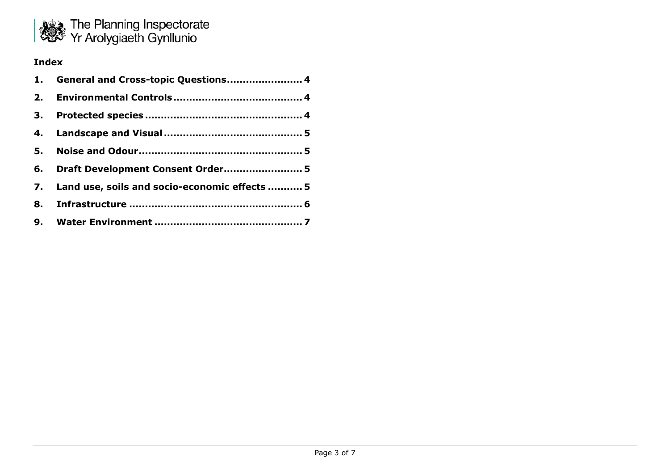

### **Index**

| 1. General and Cross-topic Questions 4           |
|--------------------------------------------------|
|                                                  |
|                                                  |
|                                                  |
|                                                  |
| 6. Draft Development Consent Order 5             |
| 7. Land use, soils and socio-economic effects  5 |
|                                                  |
|                                                  |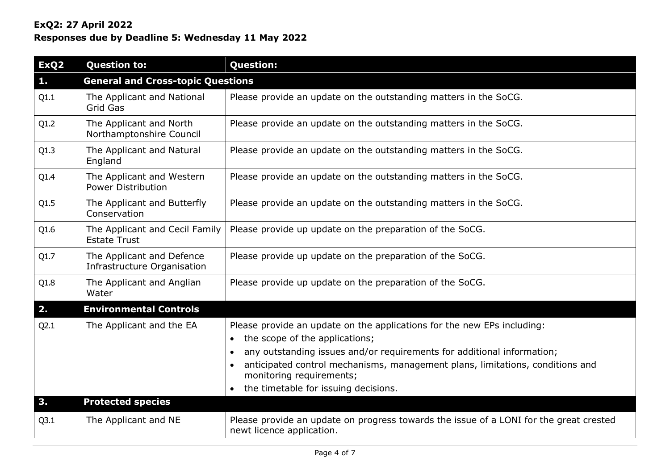## **ExQ2: 27 April 2022**

# **Responses due by Deadline 5: Wednesday 11 May 2022**

<span id="page-3-2"></span><span id="page-3-1"></span><span id="page-3-0"></span>

| ExQ <sub>2</sub> | <b>Question to:</b>                                      | <b>Question:</b>                                                                                                                                                                                                                                                                                                                                      |  |
|------------------|----------------------------------------------------------|-------------------------------------------------------------------------------------------------------------------------------------------------------------------------------------------------------------------------------------------------------------------------------------------------------------------------------------------------------|--|
| $\mathbf{1}$ .   | <b>General and Cross-topic Questions</b>                 |                                                                                                                                                                                                                                                                                                                                                       |  |
| Q1.1             | The Applicant and National<br>Grid Gas                   | Please provide an update on the outstanding matters in the SoCG.                                                                                                                                                                                                                                                                                      |  |
| Q1.2             | The Applicant and North<br>Northamptonshire Council      | Please provide an update on the outstanding matters in the SoCG.                                                                                                                                                                                                                                                                                      |  |
| Q1.3             | The Applicant and Natural<br>England                     | Please provide an update on the outstanding matters in the SoCG.                                                                                                                                                                                                                                                                                      |  |
| Q1.4             | The Applicant and Western<br><b>Power Distribution</b>   | Please provide an update on the outstanding matters in the SoCG.                                                                                                                                                                                                                                                                                      |  |
| Q1.5             | The Applicant and Butterfly<br>Conservation              | Please provide an update on the outstanding matters in the SoCG.                                                                                                                                                                                                                                                                                      |  |
| Q1.6             | The Applicant and Cecil Family<br><b>Estate Trust</b>    | Please provide up update on the preparation of the SoCG.                                                                                                                                                                                                                                                                                              |  |
| Q1.7             | The Applicant and Defence<br>Infrastructure Organisation | Please provide up update on the preparation of the SoCG.                                                                                                                                                                                                                                                                                              |  |
| Q1.8             | The Applicant and Anglian<br>Water                       | Please provide up update on the preparation of the SoCG.                                                                                                                                                                                                                                                                                              |  |
| 2.               | <b>Environmental Controls</b>                            |                                                                                                                                                                                                                                                                                                                                                       |  |
| Q2.1             | The Applicant and the EA                                 | Please provide an update on the applications for the new EPs including:<br>the scope of the applications;<br>$\bullet$<br>any outstanding issues and/or requirements for additional information;<br>anticipated control mechanisms, management plans, limitations, conditions and<br>monitoring requirements;<br>the timetable for issuing decisions. |  |
| 3.               | <b>Protected species</b>                                 |                                                                                                                                                                                                                                                                                                                                                       |  |
| Q3.1             | The Applicant and NE                                     | Please provide an update on progress towards the issue of a LONI for the great crested<br>newt licence application.                                                                                                                                                                                                                                   |  |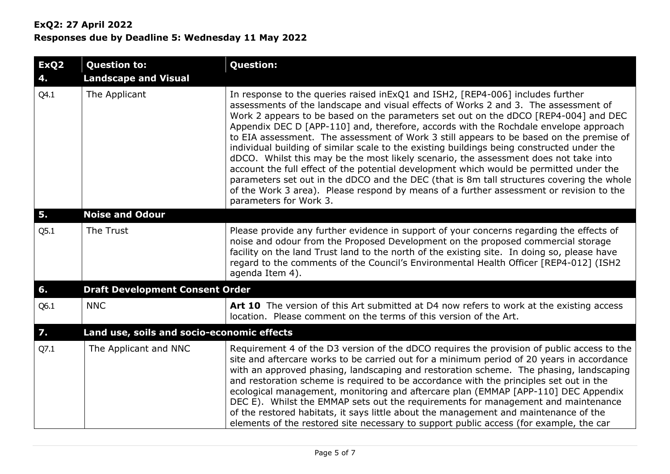## **ExQ2: 27 April 2022 Responses due by Deadline 5: Wednesday 11 May 2022**

<span id="page-4-3"></span><span id="page-4-2"></span><span id="page-4-1"></span><span id="page-4-0"></span>

| ExQ <sub>2</sub><br>4. | <b>Question to:</b><br><b>Landscape and Visual</b> | <b>Question:</b>                                                                                                                                                                                                                                                                                                                                                                                                                                                                                                                                                                                                                                                                                                                                                                                                                                                                                                                                    |
|------------------------|----------------------------------------------------|-----------------------------------------------------------------------------------------------------------------------------------------------------------------------------------------------------------------------------------------------------------------------------------------------------------------------------------------------------------------------------------------------------------------------------------------------------------------------------------------------------------------------------------------------------------------------------------------------------------------------------------------------------------------------------------------------------------------------------------------------------------------------------------------------------------------------------------------------------------------------------------------------------------------------------------------------------|
| Q4.1                   | The Applicant                                      | In response to the queries raised in ExQ1 and ISH2, [REP4-006] includes further<br>assessments of the landscape and visual effects of Works 2 and 3. The assessment of<br>Work 2 appears to be based on the parameters set out on the dDCO [REP4-004] and DEC<br>Appendix DEC D [APP-110] and, therefore, accords with the Rochdale envelope approach<br>to EIA assessment. The assessment of Work 3 still appears to be based on the premise of<br>individual building of similar scale to the existing buildings being constructed under the<br>dDCO. Whilst this may be the most likely scenario, the assessment does not take into<br>account the full effect of the potential development which would be permitted under the<br>parameters set out in the dDCO and the DEC (that is 8m tall structures covering the whole<br>of the Work 3 area). Please respond by means of a further assessment or revision to the<br>parameters for Work 3. |
| 5.                     | <b>Noise and Odour</b>                             |                                                                                                                                                                                                                                                                                                                                                                                                                                                                                                                                                                                                                                                                                                                                                                                                                                                                                                                                                     |
| Q5.1                   | The Trust                                          | Please provide any further evidence in support of your concerns regarding the effects of<br>noise and odour from the Proposed Development on the proposed commercial storage<br>facility on the land Trust land to the north of the existing site. In doing so, please have<br>regard to the comments of the Council's Environmental Health Officer [REP4-012] (ISH2<br>agenda Item 4).                                                                                                                                                                                                                                                                                                                                                                                                                                                                                                                                                             |
| 6.                     | <b>Draft Development Consent Order</b>             |                                                                                                                                                                                                                                                                                                                                                                                                                                                                                                                                                                                                                                                                                                                                                                                                                                                                                                                                                     |
| Q6.1                   | <b>NNC</b>                                         | Art 10 The version of this Art submitted at D4 now refers to work at the existing access<br>location. Please comment on the terms of this version of the Art.                                                                                                                                                                                                                                                                                                                                                                                                                                                                                                                                                                                                                                                                                                                                                                                       |
| $\overline{7}$ .       | Land use, soils and socio-economic effects         |                                                                                                                                                                                                                                                                                                                                                                                                                                                                                                                                                                                                                                                                                                                                                                                                                                                                                                                                                     |
| Q7.1                   | The Applicant and NNC                              | Requirement 4 of the D3 version of the dDCO requires the provision of public access to the<br>site and aftercare works to be carried out for a minimum period of 20 years in accordance<br>with an approved phasing, landscaping and restoration scheme. The phasing, landscaping<br>and restoration scheme is required to be accordance with the principles set out in the<br>ecological management, monitoring and aftercare plan (EMMAP [APP-110] DEC Appendix<br>DEC E). Whilst the EMMAP sets out the requirements for management and maintenance<br>of the restored habitats, it says little about the management and maintenance of the<br>elements of the restored site necessary to support public access (for example, the car                                                                                                                                                                                                            |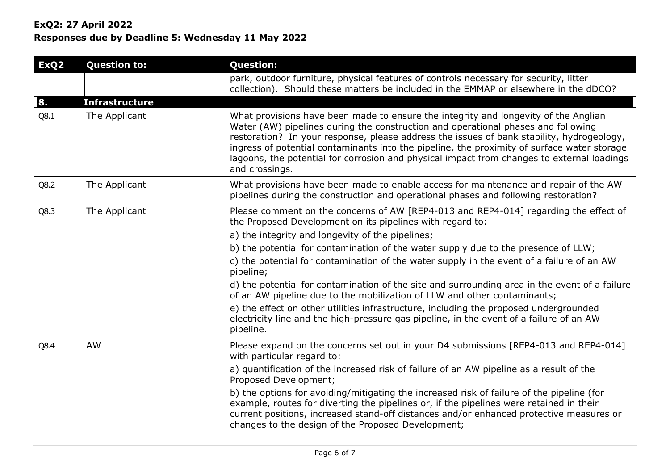## **ExQ2: 27 April 2022**

# **Responses due by Deadline 5: Wednesday 11 May 2022**

<span id="page-5-0"></span>

| ExQ <sub>2</sub> | <b>Question to:</b>   | <b>Question:</b>                                                                                                                                                                                                                                                                                                                                                                                                                                                                     |
|------------------|-----------------------|--------------------------------------------------------------------------------------------------------------------------------------------------------------------------------------------------------------------------------------------------------------------------------------------------------------------------------------------------------------------------------------------------------------------------------------------------------------------------------------|
|                  |                       | park, outdoor furniture, physical features of controls necessary for security, litter<br>collection). Should these matters be included in the EMMAP or elsewhere in the dDCO?                                                                                                                                                                                                                                                                                                        |
| 8.               | <b>Infrastructure</b> |                                                                                                                                                                                                                                                                                                                                                                                                                                                                                      |
| Q8.1             | The Applicant         | What provisions have been made to ensure the integrity and longevity of the Anglian<br>Water (AW) pipelines during the construction and operational phases and following<br>restoration? In your response, please address the issues of bank stability, hydrogeology,<br>ingress of potential contaminants into the pipeline, the proximity of surface water storage<br>lagoons, the potential for corrosion and physical impact from changes to external loadings<br>and crossings. |
| Q8.2             | The Applicant         | What provisions have been made to enable access for maintenance and repair of the AW<br>pipelines during the construction and operational phases and following restoration?                                                                                                                                                                                                                                                                                                          |
| Q8.3             | The Applicant         | Please comment on the concerns of AW [REP4-013 and REP4-014] regarding the effect of<br>the Proposed Development on its pipelines with regard to:                                                                                                                                                                                                                                                                                                                                    |
|                  |                       | a) the integrity and longevity of the pipelines;                                                                                                                                                                                                                                                                                                                                                                                                                                     |
|                  |                       | b) the potential for contamination of the water supply due to the presence of LLW;                                                                                                                                                                                                                                                                                                                                                                                                   |
|                  |                       | c) the potential for contamination of the water supply in the event of a failure of an AW<br>pipeline;                                                                                                                                                                                                                                                                                                                                                                               |
|                  |                       | d) the potential for contamination of the site and surrounding area in the event of a failure<br>of an AW pipeline due to the mobilization of LLW and other contaminants;                                                                                                                                                                                                                                                                                                            |
|                  |                       | e) the effect on other utilities infrastructure, including the proposed undergrounded<br>electricity line and the high-pressure gas pipeline, in the event of a failure of an AW<br>pipeline.                                                                                                                                                                                                                                                                                        |
| Q8.4             | AW                    | Please expand on the concerns set out in your D4 submissions [REP4-013 and REP4-014]<br>with particular regard to:                                                                                                                                                                                                                                                                                                                                                                   |
|                  |                       | a) quantification of the increased risk of failure of an AW pipeline as a result of the<br>Proposed Development;                                                                                                                                                                                                                                                                                                                                                                     |
|                  |                       | b) the options for avoiding/mitigating the increased risk of failure of the pipeline (for<br>example, routes for diverting the pipelines or, if the pipelines were retained in their<br>current positions, increased stand-off distances and/or enhanced protective measures or<br>changes to the design of the Proposed Development;                                                                                                                                                |